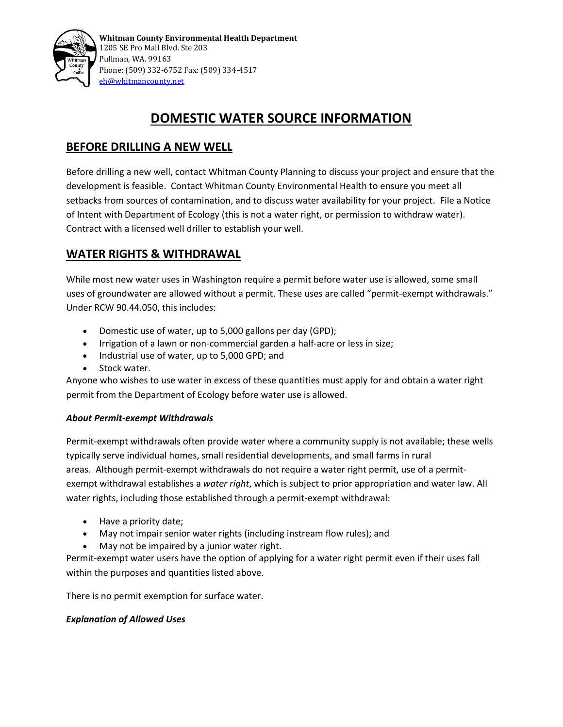

# **DOMESTIC WATER SOURCE INFORMATION**

### **BEFORE DRILLING A NEW WELL**

Before drilling a new well, contact Whitman County Planning to discuss your project and ensure that the development is feasible. Contact Whitman County Environmental Health to ensure you meet all setbacks from sources of contamination, and to discuss water availability for your project. File a Notice of Intent with Department of Ecology (this is not a water right, or permission to withdraw water). Contract with a licensed well driller to establish your well.

## **WATER RIGHTS & WITHDRAWAL**

While most new water uses in Washington require a permit before water use is allowed, some small uses of groundwater are allowed without a permit. These uses are called "permit-exempt withdrawals." Under RCW 90.44.050, this includes:

- Domestic use of water, up to 5,000 gallons per day (GPD);
- Irrigation of a lawn or non-commercial garden a half-acre or less in size;
- Industrial use of water, up to 5,000 GPD; and
- Stock water.

Anyone who wishes to use water in excess of these quantities must apply for and obtain a water right permit from the Department of Ecology before water use is allowed.

#### *About Permit-exempt Withdrawals*

Permit-exempt withdrawals often provide water where a community supply is not available; these wells typically serve individual homes, small residential developments, and small farms in rural areas. Although permit-exempt withdrawals do not require a water right permit, use of a permitexempt withdrawal establishes a *water right*, which is subject to prior appropriation and water law. All water rights, including those established through a permit-exempt withdrawal:

- Have a priority date;
- May not impair senior water rights (including instream flow rules); and
- May not be impaired by a junior water right.

Permit-exempt water users have the option of applying for a water right permit even if their uses fall within the purposes and quantities listed above.

There is no permit exemption for surface water.

#### *Explanation of Allowed Uses*